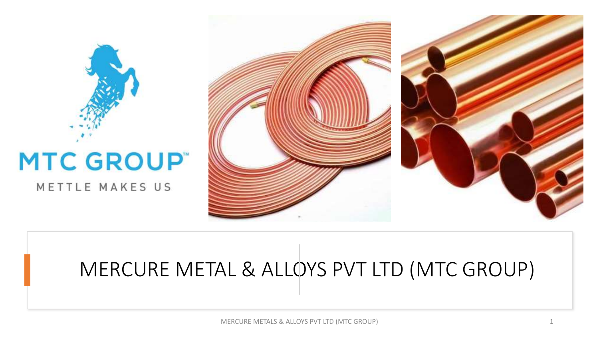



# MERCURE METAL & ALLOYS PVT LTD (MTC GROUP)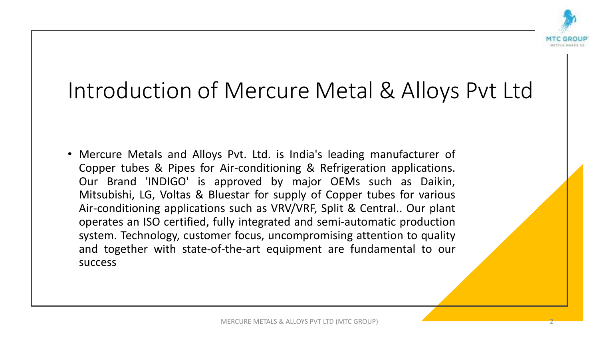![](_page_1_Picture_0.jpeg)

## Introduction of Mercure Metal & Alloys Pvt Ltd

• Mercure Metals and Alloys Pvt. Ltd. is India's leading manufacturer of Copper tubes & Pipes for Air-conditioning & Refrigeration applications. Our Brand 'INDIGO' is approved by major OEMs such as Daikin, Mitsubishi, LG, Voltas & Bluestar for supply of Copper tubes for various Air-conditioning applications such as VRV/VRF, Split & Central.. Our plant operates an ISO certified, fully integrated and semi-automatic production system. Technology, customer focus, uncompromising attention to quality and together with state-of-the-art equipment are fundamental to our success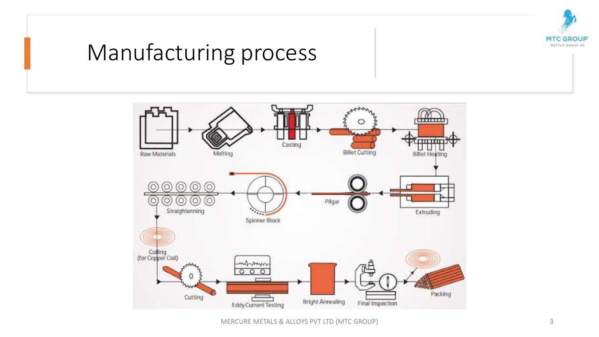![](_page_2_Picture_0.jpeg)

### Manufacturing process

![](_page_2_Figure_2.jpeg)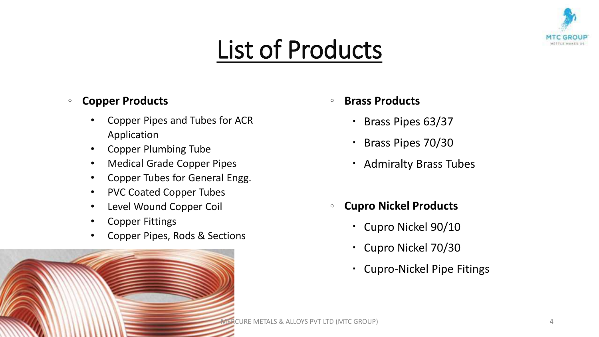![](_page_3_Picture_0.jpeg)

# List of Products

#### <sup>o</sup> **Copper Products**

- Copper Pipes and Tubes for ACR Application
- Copper Plumbing Tube
- Medical Grade Copper Pipes
- Copper Tubes for General Engg.
- PVC Coated Copper Tubes
- Level Wound Copper Coil
- Copper Fittings
- Copper Pipes, Rods & Sections
- <sup>o</sup> **Brass Products**
	- Brass Pipes 63/37
	- Brass Pipes 70/30
	- Admiralty Brass Tubes
- <sup>o</sup> **Cupro Nickel Products**
	- Cupro Nickel 90/10
	- Cupro Nickel 70/30
	- Cupro-Nickel Pipe Fitings